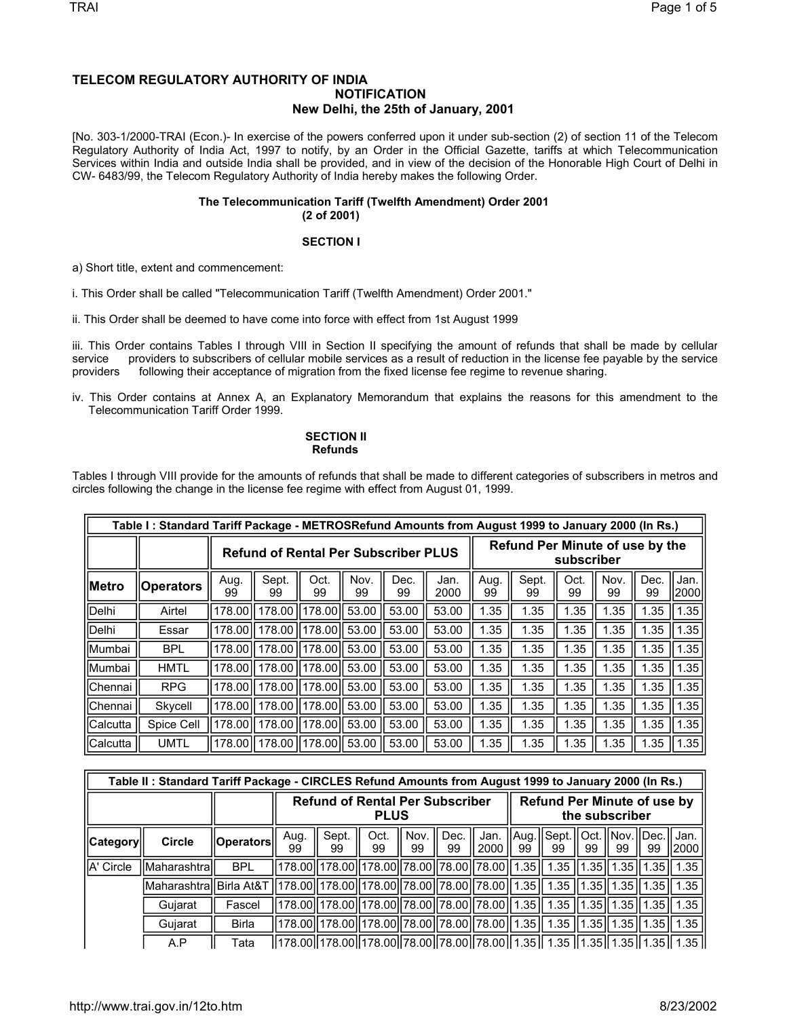## **TELECOM REGULATORY AUTHORITY OF INDIA NOTIFICATION New Delhi, the 25th of January, 2001**

[No. 303-1/2000-TRAI (Econ.)- In exercise of the powers conferred upon it under sub-section (2) of section 11 of the Telecom Regulatory Authority of India Act, 1997 to notify, by an Order in the Official Gazette, tariffs at which Telecommunication Services within India and outside India shall be provided, and in view of the decision of the Honorable High Court of Delhi in CW- 6483/99, the Telecom Regulatory Authority of India hereby makes the following Order.

## **The Telecommunication Tariff (Twelfth Amendment) Order 2001 (2 of 2001)**

## **SECTION I**

a) Short title, extent and commencement:

i. This Order shall be called "Telecommunication Tariff (Twelfth Amendment) Order 2001."

ii. This Order shall be deemed to have come into force with effect from 1st August 1999

iii. This Order contains Tables I through VIII in Section II specifying the amount of refunds that shall be made by cellular service providers to subscribers of cellular mobile services as a result of reduction in the license fee payable by the service providers following their acceptance of migration from the fixed license fee regime to revenue sharing.

iv. This Order contains at Annex A, an Explanatory Memorandum that explains the reasons for this amendment to the Telecommunication Tariff Order 1999.

## **SECTION II Refunds**

Tables I through VIII provide for the amounts of refunds that shall be made to different categories of subscribers in metros and circles following the change in the license fee regime with effect from August 01, 1999.

|                | Table I: Standard Tariff Package - METROSRefund Amounts from August 1999 to January 2000 (In Rs.) |            |                                             |                   |            |            |                                               |             |            |            |            |              |      |  |
|----------------|---------------------------------------------------------------------------------------------------|------------|---------------------------------------------|-------------------|------------|------------|-----------------------------------------------|-------------|------------|------------|------------|--------------|------|--|
|                |                                                                                                   |            | <b>Refund of Rental Per Subscriber PLUS</b> |                   |            |            | Refund Per Minute of use by the<br>subscriber |             |            |            |            |              |      |  |
| <b>IMetro</b>  | <b>Operators</b>                                                                                  | Aug.<br>99 | Sept.<br>99                                 | Oct.<br>99        | Nov.<br>99 | Dec.<br>99 | Aug.<br>99                                    | Sept.<br>99 | Oct.<br>99 | Nov.<br>99 | Dec.<br>99 | Jan.<br>2000 |      |  |
| Delhi          | Airtel                                                                                            | 178.00     | 178.00                                      | 178.00 ll         | 53.00      | 53.00      | 1.35                                          | 1.35        | 1.35       | 1.35       | 1.35       | 1.35         |      |  |
| Delhi          | Essar                                                                                             | 178,00     | 178.00                                      | l 178.00 ll 53.00 |            | 53.00      | 53.00                                         | 1.35        | 1.35       | 1.35       | 1.35       | 1.35         | 1.35 |  |
| Mumbai         | <b>BPL</b>                                                                                        | 178.00     | 178,00                                      | 178.00ll 53.00    |            | 53.00      | 53.00                                         | 1.35        | 1.35       | 1.35       | 1.35       | 1.35         | 1.35 |  |
| Mumbai         | <b>HMTL</b>                                                                                       | 178.00     | 178.00                                      | l 178.00 ll 53.00 |            | 53.00      | 53.00                                         | 1.35        | 1.35       | 1.35       | 1.35       | 1.35         | 1.35 |  |
| Chennai        | <b>RPG</b>                                                                                        | 178.00     | 178.00                                      | l 178.00 ll 53.00 |            | 53.00      | 53.00                                         | 1.35        | 1.35       | 1.35       | 1.35       | 1.35         | 1.35 |  |
| <b>Chennai</b> | Skycell                                                                                           | 178.00     | 178.00                                      | l178.00ll 53.00   |            | 53.00      | 1.35                                          | 1.35        | 1.35       | 1.35       | 1.35       | 1.35         |      |  |
| Calcutta       | Spice Cell                                                                                        | 178.00     | 178.00                                      | l178.00ll 53.00   |            | 53.00      | 53.00                                         | 1.35        | 1.35       | 1.35       | 1.35       | 1.35         | .35  |  |
| Calcutta       | <b>UMTL</b>                                                                                       | 178.00     | 178.00                                      | 178.00 53.00      |            | 53.00      | 53.00                                         | 1.35        | 1.35       | 1.35       | 1.35       | 1.35         | 1.35 |  |

|                 | Table II: Standard Tariff Package - CIRCLES Refund Amounts from August 1999 to January 2000 (In Rs.)                |                                                                                                               |            |                                                                                           |  |  |  |  |  |  |                                     |    |               |                 |
|-----------------|---------------------------------------------------------------------------------------------------------------------|---------------------------------------------------------------------------------------------------------------|------------|-------------------------------------------------------------------------------------------|--|--|--|--|--|--|-------------------------------------|----|---------------|-----------------|
|                 |                                                                                                                     | <b>Refund Per Minute of use by</b><br><b>Refund of Rental Per Subscriber</b><br>the subscriber<br><b>PLUS</b> |            |                                                                                           |  |  |  |  |  |  |                                     |    |               |                 |
| <b>Category</b> | <b>Circle</b>                                                                                                       | ∣ Operators                                                                                                   | Aug.<br>99 | Sept.<br>Nov.<br>Dec.<br>Oct.<br>Jan.<br>99<br>2000<br>99<br>99<br>99                     |  |  |  |  |  |  | Aug.    Sept.    Oct.    Nov.<br>99 | 99 | .llDec.<br>99 | I Jan.<br> 2000 |
| A' Circle       | Maharashtral                                                                                                        | <b>BPL</b>                                                                                                    |            | 178.00  178.00  178.00  78.00  78.00  78.00  1.35    1.35   1.35   1.35    1.35    1.35   |  |  |  |  |  |  |                                     |    |               |                 |
|                 | Maharashtra  Birla At&T   178.00  178.00  178.00  78.00  78.00  78.00  1.35    1.35    1.35    1.35    1.35    1.35 |                                                                                                               |            |                                                                                           |  |  |  |  |  |  |                                     |    |               |                 |
|                 | Gujarat                                                                                                             | Fascel                                                                                                        |            | 178.00  178.00  178.00  78.00  78.00  78.00  1.35    1.35    1.35    1.35    1.35    1.35 |  |  |  |  |  |  |                                     |    |               |                 |
|                 | Gujarat                                                                                                             | <b>Birla</b>                                                                                                  |            | 178.00  178.00  178.00  78.00  78.00  78.00  1.35   1.35   1.35  1.35  1.35   1.35        |  |  |  |  |  |  |                                     |    |               |                 |
|                 | A.P                                                                                                                 | Tata                                                                                                          |            | 178.00  178.00  178.00  78.00  78.00  78.00  1.35   1.35   1.35  1.35  1.35   1.35        |  |  |  |  |  |  |                                     |    |               |                 |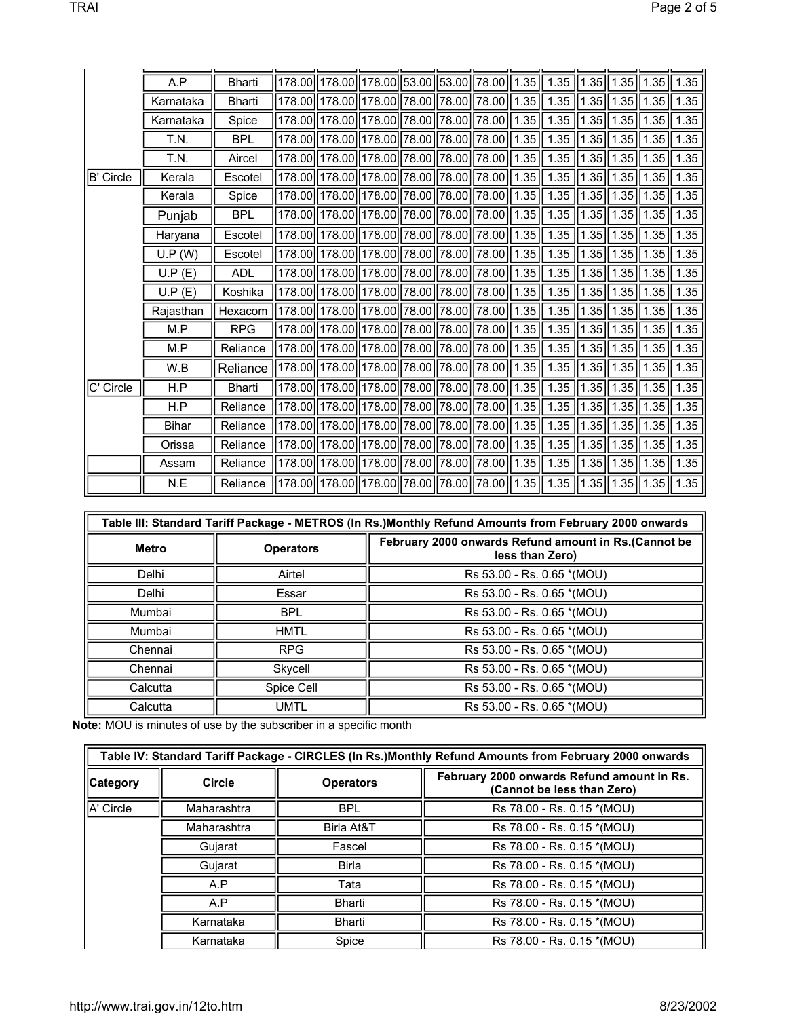|           | A.P          | <b>Bharti</b> |          | 178.00  178.00  178.00  53.00  53.00  78.00  1.35 |                                     |  |                     |      | 1.35                        |               | $\vert$ 1.35 $\vert$ 1.35 $\vert$ 1.35 $\vert$ |              | 1.35   |
|-----------|--------------|---------------|----------|---------------------------------------------------|-------------------------------------|--|---------------------|------|-----------------------------|---------------|------------------------------------------------|--------------|--------|
|           | Karnataka    | <b>Bharti</b> | 178.00   |                                                   | 178.00 178.00 78.00 78.00 78.00     |  |                     | 1.35 | 1.35                        |               | $\vert$ 1.35 $\vert$ 1.35 $\vert$ 1.35 $\vert$ |              | 1.35   |
|           | Karnataka    | Spice         |          | 178.00 178.00 178.00 78.00 78.00 78.00            |                                     |  |                     | 1.35 | 1.35                        |               | 1.35  1.35  1.35                               |              | 1.35   |
|           | T.N.         | <b>BPL</b>    | 178.00   |                                                   | 178.00 178.00 78.00 78.00           |  | 78.00               | 1.35 | 1.35                        |               | $1.35$   1.35   1.35                           |              | 1.35   |
|           | T.N.         | Aircel        |          | 178.00  178.00  178.00  78.00  78.00  78.00  1.35 |                                     |  |                     |      | 1.35                        |               | $\vert$ 1.35 $\vert$ 1.35 $\vert$ 1.35 $\vert$ |              | 1.35   |
| B' Circle | Kerala       | Escotel       |          | 178.00  178.00  178.00  78.00  78.00  78.00       |                                     |  |                     | 1.35 | 1.35                        | 1.35          | $1.35$   1.35                                  |              | 1.35   |
|           | Kerala       | Spice         | 178.00   |                                                   | 178.00 178.00 78.00 78.00           |  | 78.00               | 1.35 | 1.35                        | $1.35$   1.35 |                                                | 1.35         | $1.35$ |
|           | Punjab       | <b>BPL</b>    |          | 178.00  178.00  178.00  78.00  78.00  78.00       |                                     |  |                     | 1.35 | 1.35                        |               | $1.35$   1.35   1.35                           |              | 1.35   |
|           | Haryana      | Escotel       |          | 178.00 178.00 178.00 78.00 78.00                  |                                     |  | 78.00               | 1.35 | 1.35                        | 1.35          | 1.35                                           | 1.35         | $1.35$ |
|           | U.P (W)      | Escotel       | 178.00   |                                                   | 178.00 178.00 78.00 78.00           |  | 78.00               | 1.35 | 1.35                        | 1.35          | 1.35                                           | 1.35         | 1.35   |
|           | U.P(E)       | <b>ADL</b>    | 178.00   |                                                   | 178.00 178.00 78.00 78.00 78.00     |  |                     | 1.35 | $1.35$                      |               | $1.35$   1.35   1.35                           |              | 1.35   |
|           | U.P(E)       | Koshika       |          | 178.00 178.00 178.00 78.00 78.00 78.00 78.00      |                                     |  |                     | 1.35 | 1.35                        |               | 1.35  1.35  1.35                               |              | 1.35   |
|           | Rajasthan    | Hexacom       | 178.00   |                                                   | 178.00 178.00 78.00 78.00           |  | $\vert 78.00 \vert$ | 1.35 | 1.35                        | $1.35$   1.35 |                                                | 1.35         | 1.35   |
|           | M.P          | <b>RPG</b>    | 178.00   |                                                   | 178.00  178.00  78.00  78.00  78.00 |  |                     | 1.35 | 1.35                        | 1.35  1.35    |                                                | $\ 1.35\ $   | 1.35   |
|           | M.P          | Reliance      |          | 178.00  178.00  178.00  78.00  78.00  78.00  1.35 |                                     |  |                     |      | $1.35$   1.35   1.35   1.35 |               |                                                |              | 1.35   |
|           | W.B          | Reliance      | 178.00ll |                                                   | 178.00 178.00 78.00 78.00 78.00     |  |                     | 1.35 | 1.35                        |               | $1.35$   1.35   1.35                           |              | 1.35   |
| C' Circle | H.P          | <b>Bharti</b> |          | 178.00  178.00  178.00  78.00  78.00  78.00       |                                     |  |                     | 1.35 | 1.35                        | 1.35  1.35    |                                                | $\  1.35 \ $ | $1.35$ |
|           | H.P          | Reliance      |          | 178.00 178.00 178.00 78.00 78.00 78.00 18.00 1.35 |                                     |  |                     |      | 1.35                        |               | 1.35  1.35  1.35                               |              | 1.35   |
|           | <b>Bihar</b> | Reliance      | 178.00   |                                                   | 178.00 178.00 78.00 78.00 78.00     |  |                     | 1.35 | 1.35                        |               | $1.35$   1.35   1.35                           |              | $1.35$ |
|           | Orissa       | Reliance      |          | 178.00  178.00  178.00  78.00  78.00  78.00       |                                     |  |                     | 1.35 | 1.35                        |               | $1.35$   1.35   1.35                           |              | $1.35$ |
|           | Assam        | Reliance      |          | 178.00 178.00 178.00 78.00 78.00 78.00            |                                     |  |                     | 1.35 | 1.35                        |               | $\vert$ 1.35 $\vert$ 1.35 $\vert$ 1.35 $\vert$ |              | $1.35$ |
|           | N.E          | Reliance      |          | 178.00 178.00 178.00 78.00 78.00 78.00            |                                     |  |                     | 1.35 | $1.35$   1.35   1.35   1.35 |               |                                                |              | 1.35   |

|              | Table III: Standard Tariff Package - METROS (In Rs.)Monthly Refund Amounts from February 2000 onwards |                                                                         |  |  |  |  |  |  |  |  |
|--------------|-------------------------------------------------------------------------------------------------------|-------------------------------------------------------------------------|--|--|--|--|--|--|--|--|
| <b>Metro</b> | <b>Operators</b>                                                                                      | February 2000 onwards Refund amount in Rs.(Cannot be<br>less than Zero) |  |  |  |  |  |  |  |  |
| Delhi        | Airtel                                                                                                | Rs 53.00 - Rs. 0.65 *(MOU)                                              |  |  |  |  |  |  |  |  |
| Delhi        | Essar                                                                                                 | Rs 53.00 - Rs. 0.65 *(MOU)                                              |  |  |  |  |  |  |  |  |
| Mumbai       | <b>BPL</b>                                                                                            | Rs 53.00 - Rs. 0.65 *(MOU)                                              |  |  |  |  |  |  |  |  |
| Mumbai       | <b>HMTL</b>                                                                                           | Rs 53.00 - Rs. 0.65 *(MOU)                                              |  |  |  |  |  |  |  |  |
| Chennai      | <b>RPG</b>                                                                                            | Rs 53.00 - Rs. 0.65 *(MOU)                                              |  |  |  |  |  |  |  |  |
| Chennai      | Skycell                                                                                               | Rs 53.00 - Rs. 0.65 *(MOU)                                              |  |  |  |  |  |  |  |  |
| Calcutta     | Spice Cell                                                                                            | Rs 53.00 - Rs. 0.65 *(MOU)                                              |  |  |  |  |  |  |  |  |
| Calcutta     | <b>UMTL</b>                                                                                           | Rs 53.00 - Rs. 0.65 *(MOU)                                              |  |  |  |  |  |  |  |  |

**Note:** MOU is minutes of use by the subscriber in a specific month

|             |               |                  | Table IV: Standard Tariff Package - CIRCLES (In Rs.) Monthly Refund Amounts from February 2000 onwards |
|-------------|---------------|------------------|--------------------------------------------------------------------------------------------------------|
| Category    | <b>Circle</b> | <b>Operators</b> | February 2000 onwards Refund amount in Rs.<br>(Cannot be less than Zero)                               |
| IIA' Circle | Maharashtra   | <b>BPL</b>       | Rs 78.00 - Rs. 0.15 *(MOU)                                                                             |
|             | Maharashtra   | Birla At&T       | Rs 78.00 - Rs. 0.15 *(MOU)                                                                             |
|             | Gujarat       | Fascel           | Rs 78.00 - Rs. 0.15 *(MOU)                                                                             |
|             | Gujarat       | <b>Birla</b>     | Rs 78.00 - Rs. 0.15 *(MOU)                                                                             |
|             | A.P           | Tata             | Rs 78.00 - Rs. 0.15 *(MOU)                                                                             |
|             | A.P           | <b>Bharti</b>    | Rs 78.00 - Rs. 0.15 *(MOU)                                                                             |
|             | Karnataka     | Bharti           | Rs 78.00 - Rs. 0.15 *(MOU)                                                                             |
|             | Karnataka     | Spice            | Rs 78.00 - Rs. 0.15 *(MOU)                                                                             |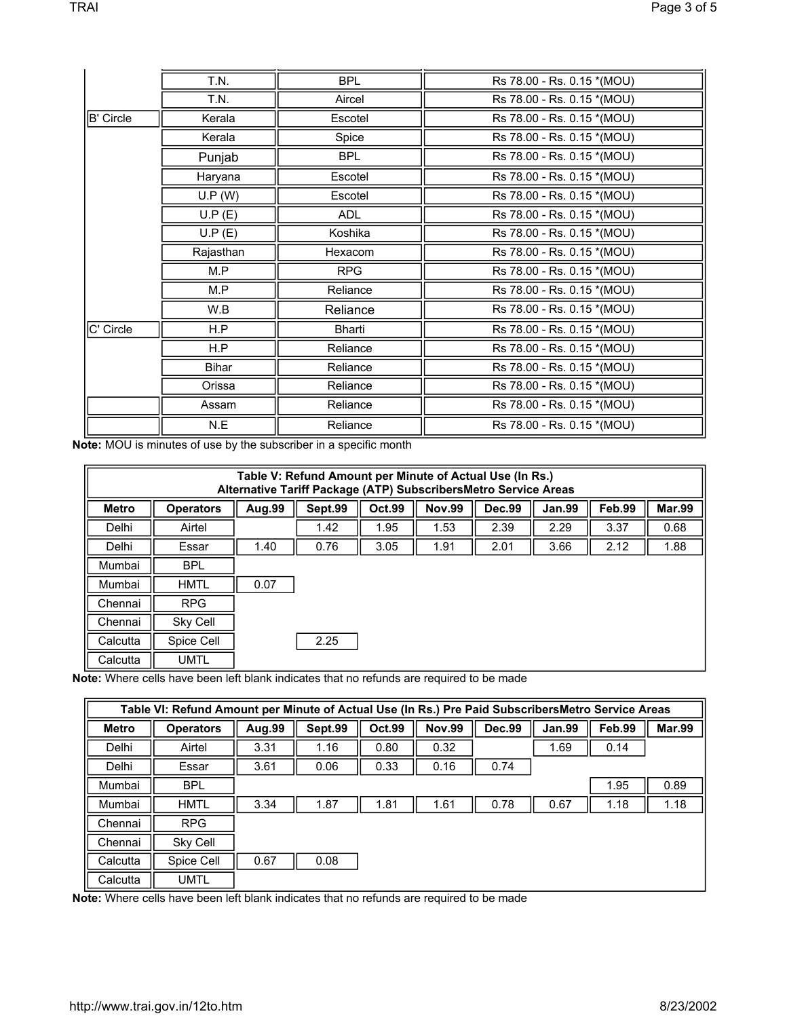|                  | T.N.      | <b>BPL</b>    | Rs 78.00 - Rs. 0.15 *(MOU) |
|------------------|-----------|---------------|----------------------------|
|                  | T.N.      | Aircel        | Rs 78.00 - Rs. 0.15 *(MOU) |
| <b>B' Circle</b> | Kerala    | Escotel       | Rs 78.00 - Rs. 0.15 *(MOU) |
|                  | Kerala    | Spice         | Rs 78.00 - Rs. 0.15 *(MOU) |
|                  | Punjab    | <b>BPL</b>    | Rs 78.00 - Rs. 0.15 *(MOU) |
|                  | Haryana   | Escotel       | Rs 78.00 - Rs. 0.15 *(MOU) |
|                  | U.P (W)   | Escotel       | Rs 78.00 - Rs. 0.15 *(MOU) |
|                  | U.P(E)    | <b>ADL</b>    | Rs 78.00 - Rs. 0.15 *(MOU) |
|                  | U.P(E)    | Koshika       | Rs 78.00 - Rs. 0.15 *(MOU) |
|                  | Rajasthan | Hexacom       | Rs 78.00 - Rs. 0.15 *(MOU) |
|                  | M.P       | <b>RPG</b>    | Rs 78.00 - Rs. 0.15 *(MOU) |
|                  | M.P       | Reliance      | Rs 78.00 - Rs. 0.15 *(MOU) |
|                  | W.B       | Reliance      | Rs 78.00 - Rs. 0.15 *(MOU) |
| C' Circle        | H.P       | <b>Bharti</b> | Rs 78.00 - Rs. 0.15 *(MOU) |
|                  | H.P       | Reliance      | Rs 78.00 - Rs. 0.15 *(MOU) |
|                  | Bihar     | Reliance      | Rs 78.00 - Rs. 0.15 *(MOU) |
|                  | Orissa    | Reliance      | Rs 78.00 - Rs. 0.15 *(MOU) |
|                  | Assam     | Reliance      | Rs 78.00 - Rs. 0.15 *(MOU) |
|                  | N.E       | Reliance      | Rs 78.00 - Rs. 0.15 *(MOU) |

**Note:** MOU is minutes of use by the subscriber in a specific month

|              |                  |        | Table V: Refund Amount per Minute of Actual Use (In Rs.)<br>Alternative Tariff Package (ATP) SubscribersMetro Service Areas |        |               |               |               |        |               |
|--------------|------------------|--------|-----------------------------------------------------------------------------------------------------------------------------|--------|---------------|---------------|---------------|--------|---------------|
| <b>Metro</b> | <b>Operators</b> | Aug.99 | Sept.99                                                                                                                     | Oct.99 | <b>Nov.99</b> | <b>Dec.99</b> | <b>Jan.99</b> | Feb.99 | <b>Mar.99</b> |
| Delhi        | Airtel           |        | 1.42                                                                                                                        | 1.95   | 1.53          | 2.39          | 2.29          | 3.37   | 0.68          |
| Delhi        | Essar            | 1.40   | 0.76                                                                                                                        | 3.05   | 1.91          | 2.01          | 3.66          | 2.12   | 1.88          |
| Mumbai       | <b>BPL</b>       |        |                                                                                                                             |        |               |               |               |        |               |
| Mumbai       | <b>HMTL</b>      | 0.07   |                                                                                                                             |        |               |               |               |        |               |
| Chennai      | <b>RPG</b>       |        |                                                                                                                             |        |               |               |               |        |               |
| Chennai      | Sky Cell         |        |                                                                                                                             |        |               |               |               |        |               |
| Calcutta     | Spice Cell       |        | 2.25                                                                                                                        |        |               |               |               |        |               |
| Calcutta     | UMTL             |        |                                                                                                                             |        |               |               |               |        |               |

**Note:** Where cells have been left blank indicates that no refunds are required to be made

|              | Table VI: Refund Amount per Minute of Actual Use (In Rs.) Pre Paid SubscribersMetro Service Areas |        |         |               |               |               |               |        |               |
|--------------|---------------------------------------------------------------------------------------------------|--------|---------|---------------|---------------|---------------|---------------|--------|---------------|
| <b>Metro</b> | <b>Operators</b>                                                                                  | Aug.99 | Sept.99 | <b>Oct.99</b> | <b>Nov.99</b> | <b>Dec.99</b> | <b>Jan.99</b> | Feb.99 | <b>Mar.99</b> |
| Delhi        | Airtel                                                                                            | 3.31   | 1.16    | 0.80          | 0.32          |               | 1.69          | 0.14   |               |
| Delhi        | Essar                                                                                             | 3.61   | 0.06    | 0.33          | 0.16          | 0.74          |               |        |               |
| Mumbai       | <b>BPL</b>                                                                                        |        |         |               |               |               |               | 1.95   | 0.89          |
| Mumbai       | <b>HMTL</b>                                                                                       | 3.34   | 1.87    | 1.81          | 1.61          | 0.78          | 0.67          | 1.18   | 1.18          |
| Chennai      | <b>RPG</b>                                                                                        |        |         |               |               |               |               |        |               |
| Chennai      | Sky Cell                                                                                          |        |         |               |               |               |               |        |               |
| Calcutta     | Spice Cell                                                                                        | 0.67   | 0.08    |               |               |               |               |        |               |
| Calcutta     | UMTL                                                                                              |        |         |               |               |               |               |        |               |

**Note:** Where cells have been left blank indicates that no refunds are required to be made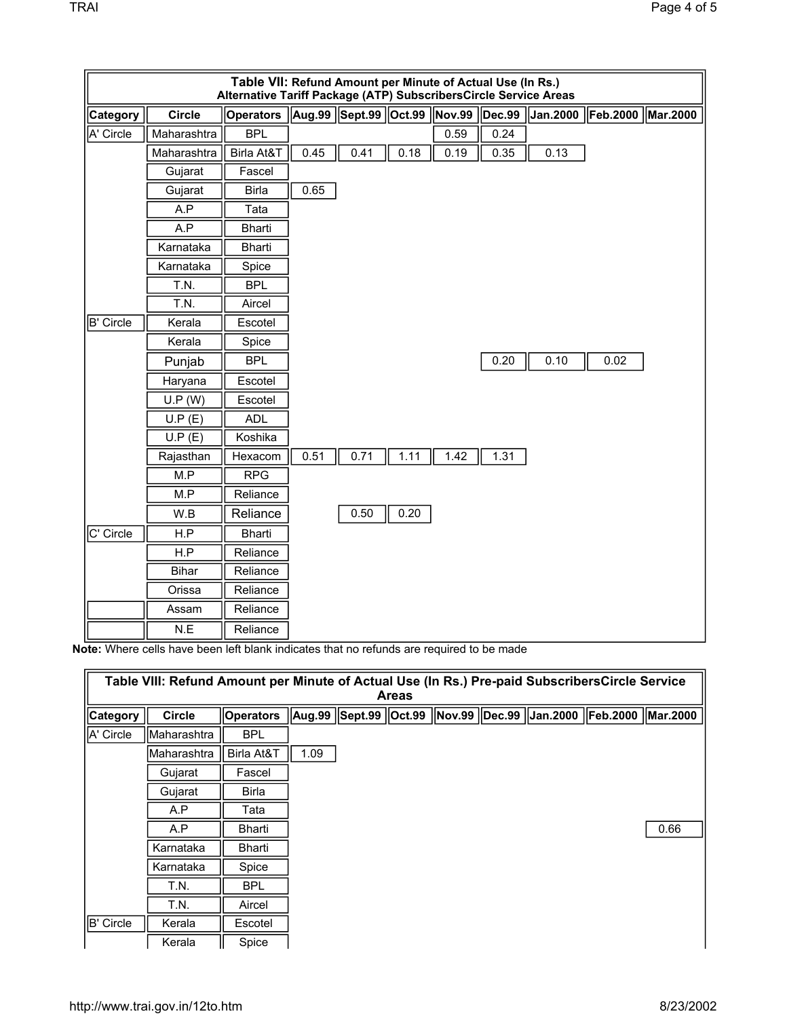|           |                  | Table VII: Refund Amount per Minute of Actual Use (In Rs.)<br>Alternative Tariff Package (ATP) SubscribersCircle Service Areas |      |                              |      |      |                      |                 |                   |  |
|-----------|------------------|--------------------------------------------------------------------------------------------------------------------------------|------|------------------------------|------|------|----------------------|-----------------|-------------------|--|
| Category  | <b>Circle</b>    | <b>Operators</b>                                                                                                               |      | Aug.99 Sept.99 Oct.99 Nov.99 |      |      | $\overline{ $ Dec.99 | <b>Jan.2000</b> | Feb.2000 Mar.2000 |  |
| A' Circle | Maharashtra      | <b>BPL</b>                                                                                                                     |      |                              |      | 0.59 | 0.24                 |                 |                   |  |
|           | Maharashtra      | Birla At&T                                                                                                                     | 0.45 | 0.41                         | 0.18 | 0.19 | 0.35                 | 0.13            |                   |  |
|           | Gujarat          | Fascel                                                                                                                         |      |                              |      |      |                      |                 |                   |  |
|           | Gujarat          | <b>Birla</b>                                                                                                                   | 0.65 |                              |      |      |                      |                 |                   |  |
|           | A.P              | Tata                                                                                                                           |      |                              |      |      |                      |                 |                   |  |
|           | $\overline{A.P}$ | Bharti                                                                                                                         |      |                              |      |      |                      |                 |                   |  |
|           | Karnataka        | <b>Bharti</b>                                                                                                                  |      |                              |      |      |                      |                 |                   |  |
|           | Karnataka        | Spice                                                                                                                          |      |                              |      |      |                      |                 |                   |  |
|           | T.N.             | <b>BPL</b>                                                                                                                     |      |                              |      |      |                      |                 |                   |  |
|           | T.N.             | Aircel                                                                                                                         |      |                              |      |      |                      |                 |                   |  |
| B' Circle | Kerala           | Escotel                                                                                                                        |      |                              |      |      |                      |                 |                   |  |
|           | Kerala           | Spice                                                                                                                          |      |                              |      |      |                      |                 |                   |  |
|           | Punjab           | <b>BPL</b>                                                                                                                     |      |                              |      |      | 0.20                 | 0.10            | 0.02              |  |
|           | Haryana          | Escotel                                                                                                                        |      |                              |      |      |                      |                 |                   |  |
|           | U.P (W)          | Escotel                                                                                                                        |      |                              |      |      |                      |                 |                   |  |
|           | U.P(E)           | <b>ADL</b>                                                                                                                     |      |                              |      |      |                      |                 |                   |  |
|           | U.P(E)           | Koshika                                                                                                                        |      |                              |      |      |                      |                 |                   |  |
|           | Rajasthan        | Hexacom                                                                                                                        | 0.51 | 0.71                         | 1.11 | 1.42 | 1.31                 |                 |                   |  |
|           | M.P              | <b>RPG</b>                                                                                                                     |      |                              |      |      |                      |                 |                   |  |
|           | M.P              | Reliance                                                                                                                       |      |                              |      |      |                      |                 |                   |  |
|           | W.B              | Reliance                                                                                                                       |      | 0.50                         | 0.20 |      |                      |                 |                   |  |
| C' Circle | H.P              | Bharti                                                                                                                         |      |                              |      |      |                      |                 |                   |  |
|           | H.P              | Reliance                                                                                                                       |      |                              |      |      |                      |                 |                   |  |
|           | <b>Bihar</b>     | Reliance                                                                                                                       |      |                              |      |      |                      |                 |                   |  |
|           | Orissa           | Reliance                                                                                                                       |      |                              |      |      |                      |                 |                   |  |
|           | Assam            | Reliance                                                                                                                       |      |                              |      |      |                      |                 |                   |  |
|           | N.E              | Reliance                                                                                                                       |      |                              |      |      |                      |                 |                   |  |

**Note:** Where cells have been left blank indicates that no refunds are required to be made

|           | Table VIII: Refund Amount per Minute of Actual Use (In Rs.) Pre-paid SubscribersCircle Service |                  |      | <b>Areas</b> |  |                                                        |                          |      |
|-----------|------------------------------------------------------------------------------------------------|------------------|------|--------------|--|--------------------------------------------------------|--------------------------|------|
| Category  | <b>Circle</b>                                                                                  | <b>Operators</b> |      |              |  | Aug.99   Sept.99   Oct.99   Nov.99   Dec.99   Jan.2000 | <b>Feb.2000 Mar.2000</b> |      |
| A' Circle | Maharashtra                                                                                    | <b>BPL</b>       |      |              |  |                                                        |                          |      |
|           | Maharashtra                                                                                    | Birla At&T       | 1.09 |              |  |                                                        |                          |      |
|           | Gujarat                                                                                        | Fascel           |      |              |  |                                                        |                          |      |
|           | Gujarat                                                                                        | <b>Birla</b>     |      |              |  |                                                        |                          |      |
|           | A.P                                                                                            | Tata             |      |              |  |                                                        |                          |      |
|           | A.P                                                                                            | Bharti           |      |              |  |                                                        |                          | 0.66 |
|           | Karnataka                                                                                      | Bharti           |      |              |  |                                                        |                          |      |
|           | Karnataka                                                                                      | Spice            |      |              |  |                                                        |                          |      |
|           | T.N.                                                                                           | <b>BPL</b>       |      |              |  |                                                        |                          |      |
|           | T.N.                                                                                           | Aircel           |      |              |  |                                                        |                          |      |
| B' Circle | Kerala                                                                                         | Escotel          |      |              |  |                                                        |                          |      |
|           | Kerala                                                                                         | Spice            |      |              |  |                                                        |                          |      |